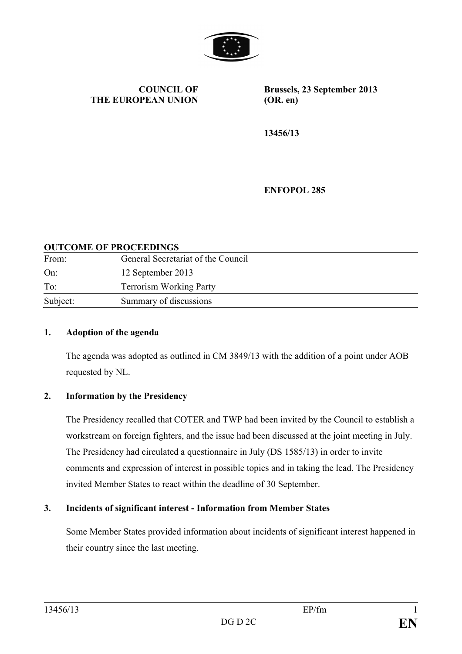

**COUNCIL OF THE EUROPEAN UNION**

**Brussels, 23 September 2013 (OR. en)**

**13456/13**

**ENFOPOL 285**

#### **OUTCOME OF PROCEEDINGS**

| From:<br>On: | General Secretariat of the Council<br>12 September 2013 |
|--------------|---------------------------------------------------------|
|              |                                                         |
| Subject:     | Summary of discussions                                  |

#### **1. Adoption of the agenda**

The agenda was adopted as outlined in CM 3849/13 with the addition of a point under AOB requested by NL.

#### **2. Information by the Presidency**

The Presidency recalled that COTER and TWP had been invited by the Council to establish a workstream on foreign fighters, and the issue had been discussed at the joint meeting in July. The Presidency had circulated a questionnaire in July (DS 1585/13) in order to invite comments and expression of interest in possible topics and in taking the lead. The Presidency invited Member States to react within the deadline of 30 September.

#### **3. Incidents of significant interest - Information from Member States**

Some Member States provided information about incidents of significant interest happened in their country since the last meeting.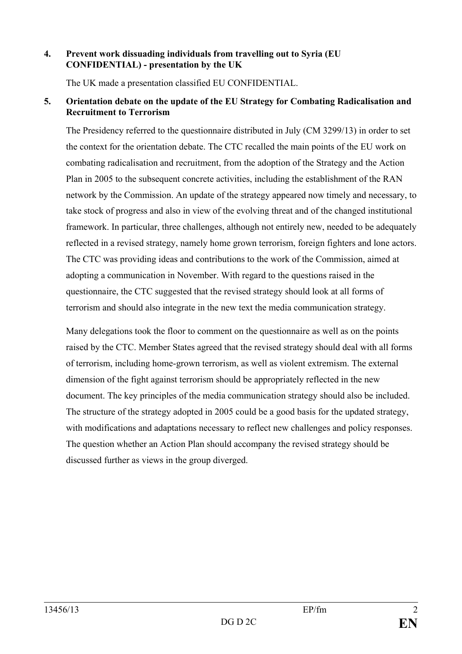#### **4. Prevent work dissuading individuals from travelling out to Syria (EU CONFIDENTIAL) - presentation by the UK**

The UK made a presentation classified EU CONFIDENTIAL.

#### **5. Orientation debate on the update of the EU Strategy for Combating Radicalisation and Recruitment to Terrorism**

The Presidency referred to the questionnaire distributed in July (CM 3299/13) in order to set the context for the orientation debate. The CTC recalled the main points of the EU work on combating radicalisation and recruitment, from the adoption of the Strategy and the Action Plan in 2005 to the subsequent concrete activities, including the establishment of the RAN network by the Commission. An update of the strategy appeared now timely and necessary, to take stock of progress and also in view of the evolving threat and of the changed institutional framework. In particular, three challenges, although not entirely new, needed to be adequately reflected in a revised strategy, namely home grown terrorism, foreign fighters and lone actors. The CTC was providing ideas and contributions to the work of the Commission, aimed at adopting a communication in November. With regard to the questions raised in the questionnaire, the CTC suggested that the revised strategy should look at all forms of terrorism and should also integrate in the new text the media communication strategy.

Many delegations took the floor to comment on the questionnaire as well as on the points raised by the CTC. Member States agreed that the revised strategy should deal with all forms of terrorism, including home-grown terrorism, as well as violent extremism. The external dimension of the fight against terrorism should be appropriately reflected in the new document. The key principles of the media communication strategy should also be included. The structure of the strategy adopted in 2005 could be a good basis for the updated strategy, with modifications and adaptations necessary to reflect new challenges and policy responses. The question whether an Action Plan should accompany the revised strategy should be discussed further as views in the group diverged.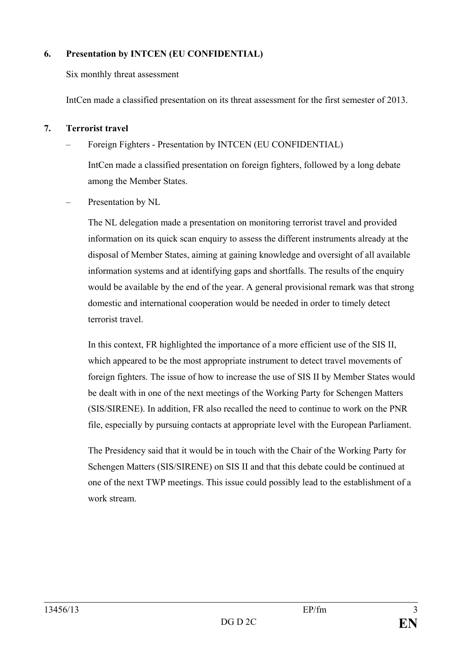# **6. Presentation by INTCEN (EU CONFIDENTIAL)**

Six monthly threat assessment

IntCen made a classified presentation on its threat assessment for the first semester of 2013.

# **7. Terrorist travel**

– Foreign Fighters - Presentation by INTCEN (EU CONFIDENTIAL)

IntCen made a classified presentation on foreign fighters, followed by a long debate among the Member States.

Presentation by NL

The NL delegation made a presentation on monitoring terrorist travel and provided information on its quick scan enquiry to assess the different instruments already at the disposal of Member States, aiming at gaining knowledge and oversight of all available information systems and at identifying gaps and shortfalls. The results of the enquiry would be available by the end of the year. A general provisional remark was that strong domestic and international cooperation would be needed in order to timely detect terrorist travel.

In this context, FR highlighted the importance of a more efficient use of the SIS II, which appeared to be the most appropriate instrument to detect travel movements of foreign fighters. The issue of how to increase the use of SIS II by Member States would be dealt with in one of the next meetings of the Working Party for Schengen Matters (SIS/SIRENE). In addition, FR also recalled the need to continue to work on the PNR file, especially by pursuing contacts at appropriate level with the European Parliament.

The Presidency said that it would be in touch with the Chair of the Working Party for Schengen Matters (SIS/SIRENE) on SIS II and that this debate could be continued at one of the next TWP meetings. This issue could possibly lead to the establishment of a work stream.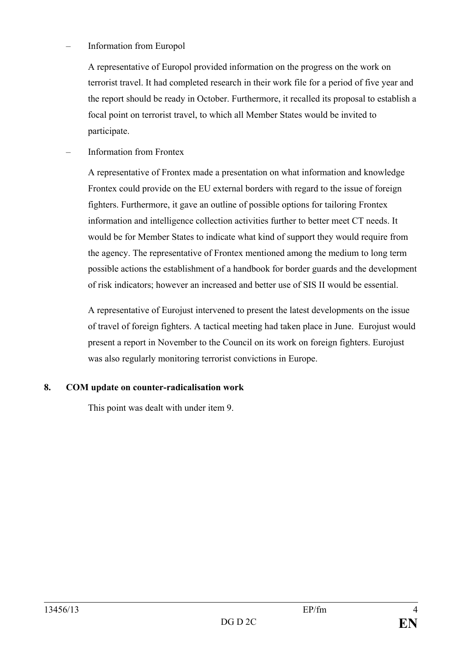# – Information from Europol

A representative of Europol provided information on the progress on the work on terrorist travel. It had completed research in their work file for a period of five year and the report should be ready in October. Furthermore, it recalled its proposal to establish a focal point on terrorist travel, to which all Member States would be invited to participate.

# – Information from Frontex

A representative of Frontex made a presentation on what information and knowledge Frontex could provide on the EU external borders with regard to the issue of foreign fighters. Furthermore, it gave an outline of possible options for tailoring Frontex information and intelligence collection activities further to better meet CT needs. It would be for Member States to indicate what kind of support they would require from the agency. The representative of Frontex mentioned among the medium to long term possible actions the establishment of a handbook for border guards and the development of risk indicators; however an increased and better use of SIS II would be essential.

A representative of Eurojust intervened to present the latest developments on the issue of travel of foreign fighters. A tactical meeting had taken place in June. Eurojust would present a report in November to the Council on its work on foreign fighters. Eurojust was also regularly monitoring terrorist convictions in Europe.

# **8. COM update on counter-radicalisation work**

This point was dealt with under item 9.